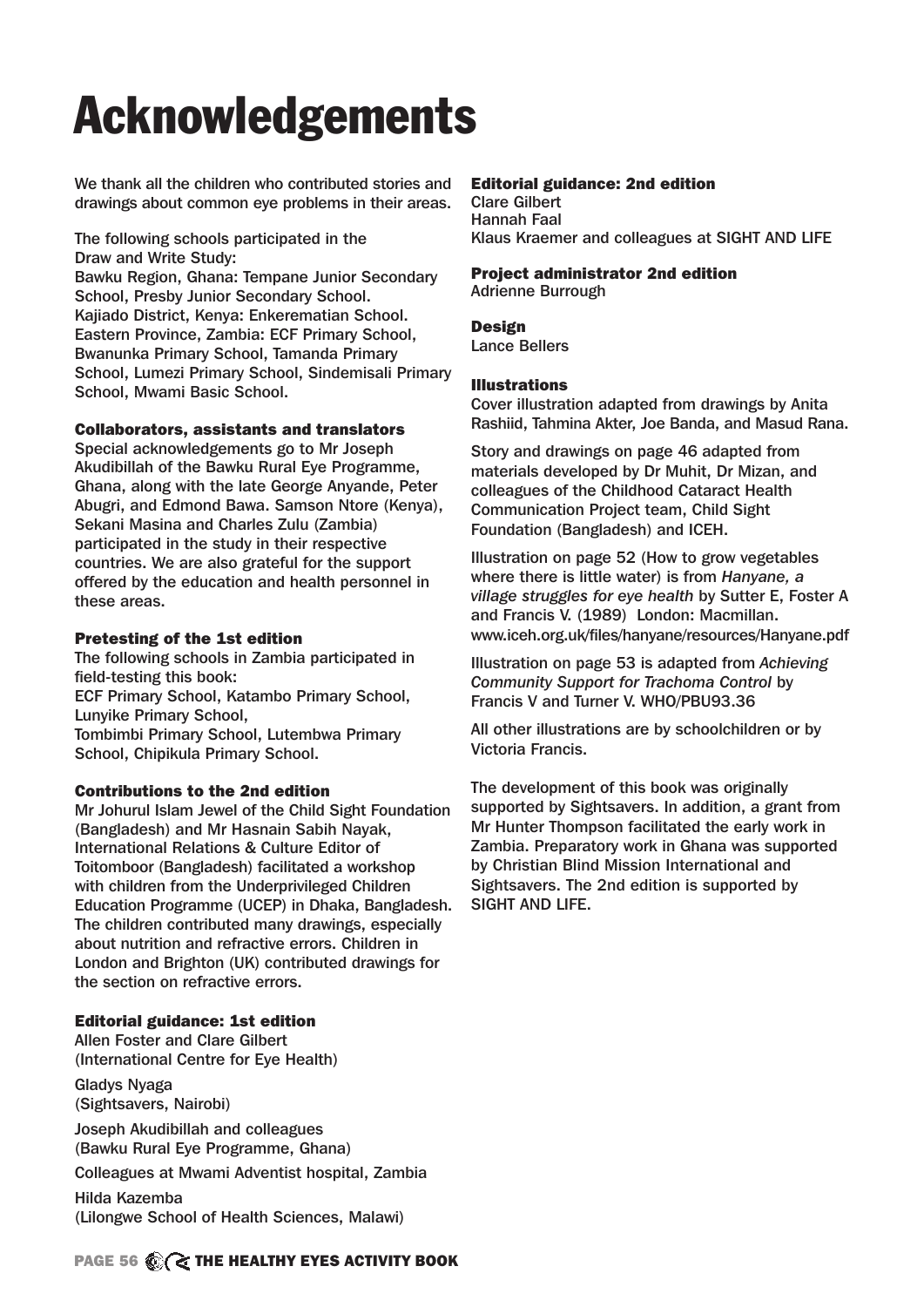# Acknowledgements

We thank all the children who contributed stories and drawings about common eye problems in their areas.

The following schools participated in the Draw and Write Study:

Bawku Region, Ghana: Tempane Junior Secondary School, Presby Junior Secondary School. Kajiado District, Kenya: Enkerematian School. Eastern Province, Zambia: ECF Primary School, Bwanunka Primary School, Tamanda Primary School, Lumezi Primary School, Sindemisali Primary School, Mwami Basic School.

#### Collaborators, assistants and translators

Special acknowledgements go to Mr Joseph Akudibillah of the Bawku Rural Eye Programme, Ghana, along with the late George Anyande, Peter Abugri, and Edmond Bawa. Samson Ntore (Kenya), Sekani Masina and Charles Zulu (Zambia) participated in the study in their respective countries. We are also grateful for the support offered by the education and health personnel in these areas.

#### Pretesting of the 1st edition

The following schools in Zambia participated in field-testing this book: ECF Primary School, Katambo Primary School, Lunyike Primary School, Tombimbi Primary School, Lutembwa Primary School, Chipikula Primary School.

# Contributions to the 2nd edition

Mr Johurul Islam Jewel of the Child Sight Foundation (Bangladesh) and Mr Hasnain Sabih Nayak, International Relations & Culture Editor of Toitomboor (Bangladesh) facilitated a workshop with children from the Underprivileged Children Education Programme (UCEP) in Dhaka, Bangladesh. The children contributed many drawings, especially about nutrition and refractive errors. Children in London and Brighton (UK) contributed drawings for the section on refractive errors.

# Editorial guidance: 1st edition

Allen Foster and Clare Gilbert (International Centre for Eye Health) Gladys Nyaga

(Sightsavers, Nairobi)

Joseph Akudibillah and colleagues (Bawku Rural Eye Programme, Ghana)

Colleagues at Mwami Adventist hospital, Zambia Hilda Kazemba (Lilongwe School of Health Sciences, Malawi)

#### Editorial guidance: 2nd edition

Clare Gilbert Hannah Faal Klaus Kraemer and colleagues at SIGHT AND LIFE

# Project administrator 2nd edition

Adrienne Burrough

Design Lance Bellers

#### Illustrations

Cover illustration adapted from drawings by Anita Rashiid, Tahmina Akter, Joe Banda, and Masud Rana.

Story and drawings on page 46 adapted from materials developed by Dr Muhit, Dr Mizan, and colleagues of the Childhood Cataract Health Communication Project team, Child Sight Foundation (Bangladesh) and ICEH.

Illustration on page 52 (How to grow vegetables where there is little water) is from *Hanyane, a village struggles for eye health* by Sutter E, Foster A and Francis V. (1989) London: Macmillan. www.iceh.org.uk/files/hanyane/resources/Hanyane.pdf

Illustration on page 53 is adapted from *Achieving Community Support for Trachoma Control* by Francis V and Turner V. WHO/PBU93.36

All other illustrations are by schoolchildren or by Victoria Francis.

The development of this book was originally supported by Sightsavers. In addition, a grant from Mr Hunter Thompson facilitated the early work in Zambia. Preparatory work in Ghana was supported by Christian Blind Mission International and Sightsavers. The 2nd edition is supported by SIGHT AND LIFE.